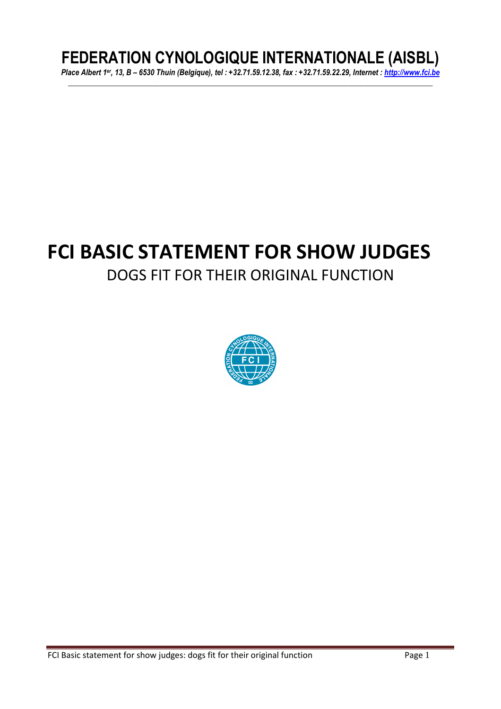# **FEDERATION CYNOLOGIQUE INTERNATIONALE (AISBL)**

*Place Albert 1er, 13, B – 6530 Thuin (Belgique), tel : +32.71.59.12.38, fax : +32.71.59.22.29, Internet : http://www.fci.be \_\_\_\_\_\_\_\_\_\_\_\_\_\_\_\_\_\_\_\_\_\_\_\_\_\_\_\_\_\_\_\_\_\_\_\_\_\_\_\_\_\_\_\_\_\_\_\_\_\_\_\_\_\_\_\_\_\_\_\_\_\_\_\_\_\_\_\_\_\_\_\_\_\_\_\_\_\_\_\_\_\_\_\_\_\_\_\_\_\_\_\_\_\_\_* 

# **FCI BASIC STATEMENT FOR SHOW JUDGES**  DOGS FIT FOR THEIR ORIGINAL FUNCTION

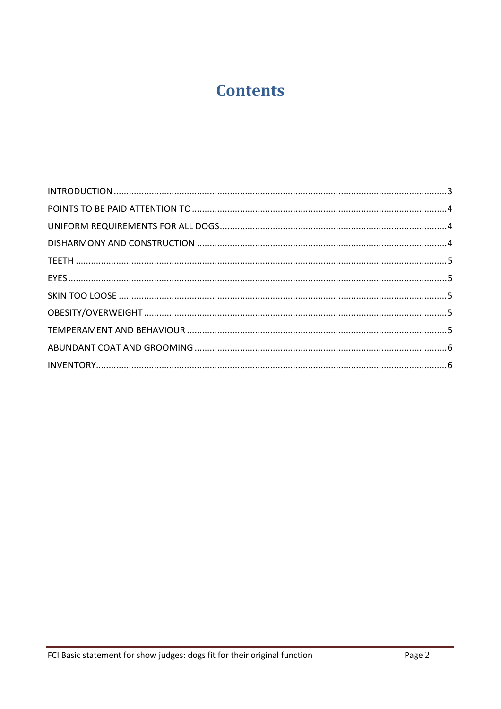# **Contents**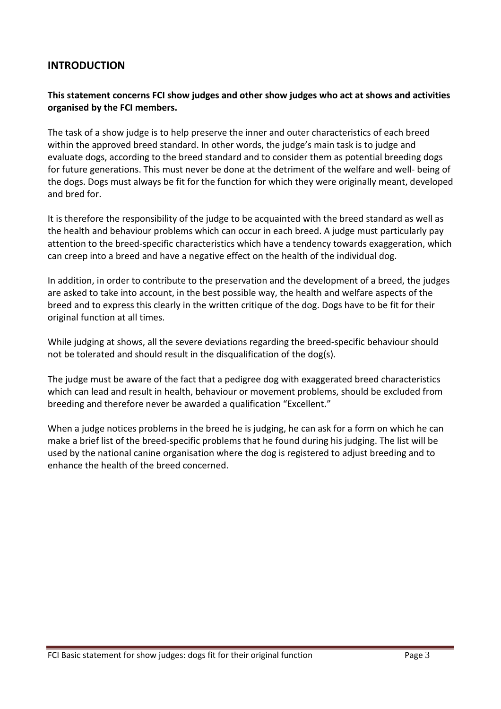## **INTRODUCTION**

### **This statement concerns FCI show judges and other show judges who act at shows and activities organised by the FCI members.**

The task of a show judge is to help preserve the inner and outer characteristics of each breed within the approved breed standard. In other words, the judge's main task is to judge and evaluate dogs, according to the breed standard and to consider them as potential breeding dogs for future generations. This must never be done at the detriment of the welfare and well- being of the dogs. Dogs must always be fit for the function for which they were originally meant, developed and bred for.

It is therefore the responsibility of the judge to be acquainted with the breed standard as well as the health and behaviour problems which can occur in each breed. A judge must particularly pay attention to the breed-specific characteristics which have a tendency towards exaggeration, which can creep into a breed and have a negative effect on the health of the individual dog.

In addition, in order to contribute to the preservation and the development of a breed, the judges are asked to take into account, in the best possible way, the health and welfare aspects of the breed and to express this clearly in the written critique of the dog. Dogs have to be fit for their original function at all times.

While judging at shows, all the severe deviations regarding the breed-specific behaviour should not be tolerated and should result in the disqualification of the dog(s).

The judge must be aware of the fact that a pedigree dog with exaggerated breed characteristics which can lead and result in health, behaviour or movement problems, should be excluded from breeding and therefore never be awarded a qualification "Excellent."

When a judge notices problems in the breed he is judging, he can ask for a form on which he can make a brief list of the breed-specific problems that he found during his judging. The list will be used by the national canine organisation where the dog is registered to adjust breeding and to enhance the health of the breed concerned.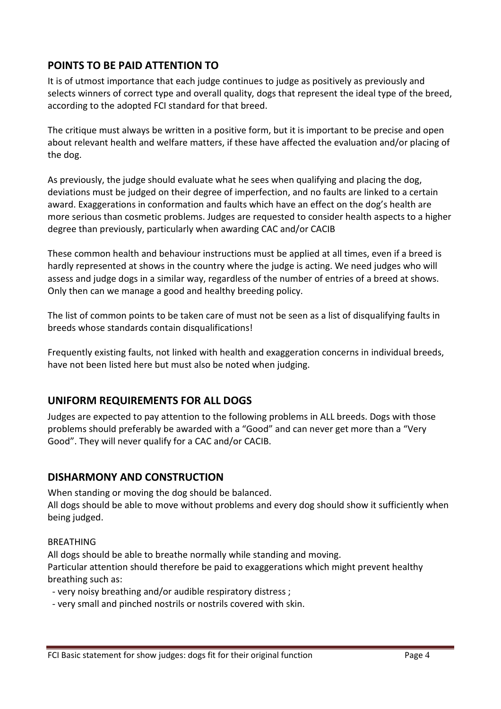# **POINTS TO BE PAID ATTENTION TO**

It is of utmost importance that each judge continues to judge as positively as previously and selects winners of correct type and overall quality, dogs that represent the ideal type of the breed, according to the adopted FCI standard for that breed.

The critique must always be written in a positive form, but it is important to be precise and open about relevant health and welfare matters, if these have affected the evaluation and/or placing of the dog.

As previously, the judge should evaluate what he sees when qualifying and placing the dog, deviations must be judged on their degree of imperfection, and no faults are linked to a certain award. Exaggerations in conformation and faults which have an effect on the dog's health are more serious than cosmetic problems. Judges are requested to consider health aspects to a higher degree than previously, particularly when awarding CAC and/or CACIB

These common health and behaviour instructions must be applied at all times, even if a breed is hardly represented at shows in the country where the judge is acting. We need judges who will assess and judge dogs in a similar way, regardless of the number of entries of a breed at shows. Only then can we manage a good and healthy breeding policy.

The list of common points to be taken care of must not be seen as a list of disqualifying faults in breeds whose standards contain disqualifications!

Frequently existing faults, not linked with health and exaggeration concerns in individual breeds, have not been listed here but must also be noted when judging.

## **UNIFORM REQUIREMENTS FOR ALL DOGS**

Judges are expected to pay attention to the following problems in ALL breeds. Dogs with those problems should preferably be awarded with a "Good" and can never get more than a "Very Good". They will never qualify for a CAC and/or CACIB.

## **DISHARMONY AND CONSTRUCTION**

When standing or moving the dog should be balanced. All dogs should be able to move without problems and every dog should show it sufficiently when being judged.

### BREATHING

All dogs should be able to breathe normally while standing and moving. Particular attention should therefore be paid to exaggerations which might prevent healthy breathing such as:

- very noisy breathing and/or audible respiratory distress ;

- very small and pinched nostrils or nostrils covered with skin.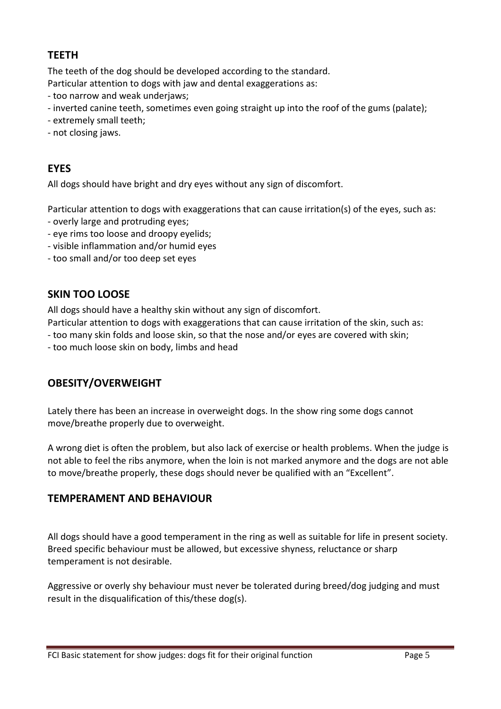# **TEETH**

The teeth of the dog should be developed according to the standard. Particular attention to dogs with jaw and dental exaggerations as:

- too narrow and weak underjaws;
- inverted canine teeth, sometimes even going straight up into the roof of the gums (palate);
- extremely small teeth;
- not closing jaws.

# **EYES**

All dogs should have bright and dry eyes without any sign of discomfort.

Particular attention to dogs with exaggerations that can cause irritation(s) of the eyes, such as:

- overly large and protruding eyes;
- eye rims too loose and droopy eyelids;
- visible inflammation and/or humid eyes
- too small and/or too deep set eyes

# **SKIN TOO LOOSE**

All dogs should have a healthy skin without any sign of discomfort.

- Particular attention to dogs with exaggerations that can cause irritation of the skin, such as:
- too many skin folds and loose skin, so that the nose and/or eyes are covered with skin;
- too much loose skin on body, limbs and head

# **OBESITY/OVERWEIGHT**

Lately there has been an increase in overweight dogs. In the show ring some dogs cannot move/breathe properly due to overweight.

A wrong diet is often the problem, but also lack of exercise or health problems. When the judge is not able to feel the ribs anymore, when the loin is not marked anymore and the dogs are not able to move/breathe properly, these dogs should never be qualified with an "Excellent".

# **TEMPERAMENT AND BEHAVIOUR**

All dogs should have a good temperament in the ring as well as suitable for life in present society. Breed specific behaviour must be allowed, but excessive shyness, reluctance or sharp temperament is not desirable.

Aggressive or overly shy behaviour must never be tolerated during breed/dog judging and must result in the disqualification of this/these dog(s).